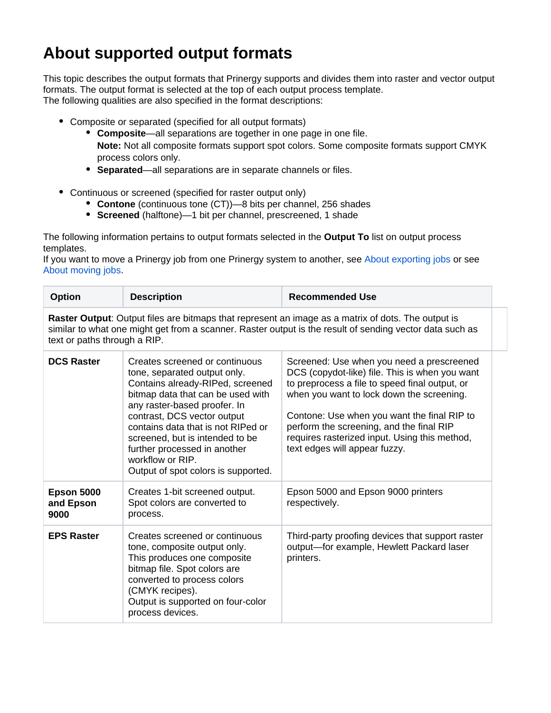## **About supported output formats**

This topic describes the output formats that Prinergy supports and divides them into raster and vector output formats. The output format is selected at the top of each output process template. The following qualities are also specified in the format descriptions:

- Composite or separated (specified for all output formats)
	- **Composite**—all separations are together in one page in one file. **Note:** Not all composite formats support spot colors. Some composite formats support CMYK
		- process colors only.
	- **Separated**—all separations are in separate channels or files.
- Continuous or screened (specified for raster output only)
	- **Contone** (continuous tone (CT))—8 bits per channel, 256 shades
	- **Screened** (halftone)—1 bit per channel, prescreened, 1 shade

The following information pertains to output formats selected in the **Output To** list on output process templates.

If you want to move a Prinergy job from one Prinergy system to another, see About exporting jobs or see [About moving jobs](https://workflowhelp.kodak.com/display/PRIN81/About+moving+jobs).

| <b>Option</b>                                                                                                                                                                                                                                  | <b>Description</b>                                                                                                                                                                                                                                                                                                                                                         | <b>Recommended Use</b>                                                                                                                                                                                                                                                                                                                                                  |  |  |
|------------------------------------------------------------------------------------------------------------------------------------------------------------------------------------------------------------------------------------------------|----------------------------------------------------------------------------------------------------------------------------------------------------------------------------------------------------------------------------------------------------------------------------------------------------------------------------------------------------------------------------|-------------------------------------------------------------------------------------------------------------------------------------------------------------------------------------------------------------------------------------------------------------------------------------------------------------------------------------------------------------------------|--|--|
| Raster Output: Output files are bitmaps that represent an image as a matrix of dots. The output is<br>similar to what one might get from a scanner. Raster output is the result of sending vector data such as<br>text or paths through a RIP. |                                                                                                                                                                                                                                                                                                                                                                            |                                                                                                                                                                                                                                                                                                                                                                         |  |  |
| <b>DCS Raster</b>                                                                                                                                                                                                                              | Creates screened or continuous<br>tone, separated output only.<br>Contains already-RIPed, screened<br>bitmap data that can be used with<br>any raster-based proofer. In<br>contrast, DCS vector output<br>contains data that is not RIPed or<br>screened, but is intended to be<br>further processed in another<br>workflow or RIP.<br>Output of spot colors is supported. | Screened: Use when you need a prescreened<br>DCS (copydot-like) file. This is when you want<br>to preprocess a file to speed final output, or<br>when you want to lock down the screening.<br>Contone: Use when you want the final RIP to<br>perform the screening, and the final RIP<br>requires rasterized input. Using this method,<br>text edges will appear fuzzy. |  |  |
| <b>Epson 5000</b><br>and Epson<br>9000                                                                                                                                                                                                         | Creates 1-bit screened output.<br>Spot colors are converted to<br>process.                                                                                                                                                                                                                                                                                                 | Epson 5000 and Epson 9000 printers<br>respectively.                                                                                                                                                                                                                                                                                                                     |  |  |
| <b>EPS Raster</b>                                                                                                                                                                                                                              | Creates screened or continuous<br>tone, composite output only.<br>This produces one composite<br>bitmap file. Spot colors are<br>converted to process colors<br>(CMYK recipes).<br>Output is supported on four-color<br>process devices.                                                                                                                                   | Third-party proofing devices that support raster<br>output-for example, Hewlett Packard laser<br>printers.                                                                                                                                                                                                                                                              |  |  |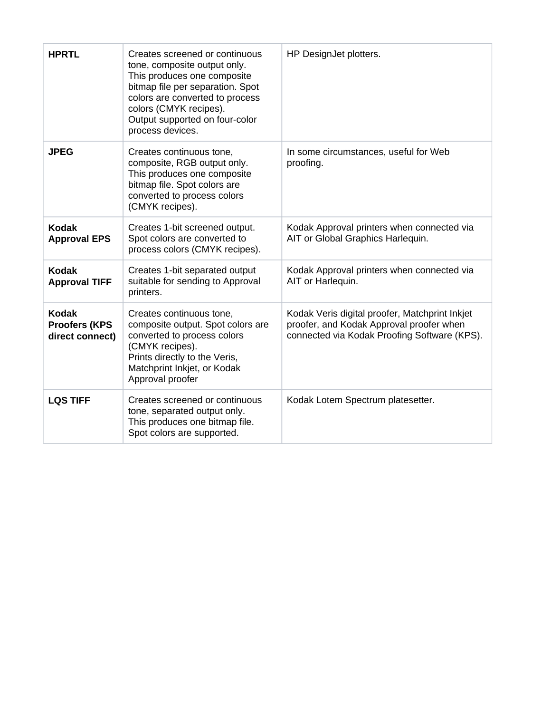| <b>HPRTL</b>                                             | Creates screened or continuous<br>tone, composite output only.<br>This produces one composite<br>bitmap file per separation. Spot<br>colors are converted to process<br>colors (CMYK recipes).<br>Output supported on four-color<br>process devices. | HP DesignJet plotters.                                                                                                                     |
|----------------------------------------------------------|------------------------------------------------------------------------------------------------------------------------------------------------------------------------------------------------------------------------------------------------------|--------------------------------------------------------------------------------------------------------------------------------------------|
| <b>JPEG</b>                                              | Creates continuous tone,<br>composite, RGB output only.<br>This produces one composite<br>bitmap file. Spot colors are<br>converted to process colors<br>(CMYK recipes).                                                                             | In some circumstances, useful for Web<br>proofing.                                                                                         |
| <b>Kodak</b><br><b>Approval EPS</b>                      | Creates 1-bit screened output.<br>Spot colors are converted to<br>process colors (CMYK recipes).                                                                                                                                                     | Kodak Approval printers when connected via<br>AIT or Global Graphics Harlequin.                                                            |
| <b>Kodak</b><br><b>Approval TIFF</b>                     | Creates 1-bit separated output<br>suitable for sending to Approval<br>printers.                                                                                                                                                                      | Kodak Approval printers when connected via<br>AIT or Harlequin.                                                                            |
| <b>Kodak</b><br><b>Proofers (KPS)</b><br>direct connect) | Creates continuous tone,<br>composite output. Spot colors are<br>converted to process colors<br>(CMYK recipes).<br>Prints directly to the Veris,<br>Matchprint Inkjet, or Kodak<br>Approval proofer                                                  | Kodak Veris digital proofer, Matchprint Inkjet<br>proofer, and Kodak Approval proofer when<br>connected via Kodak Proofing Software (KPS). |
| <b>LQS TIFF</b>                                          | Creates screened or continuous<br>tone, separated output only.<br>This produces one bitmap file.<br>Spot colors are supported.                                                                                                                       | Kodak Lotem Spectrum platesetter.                                                                                                          |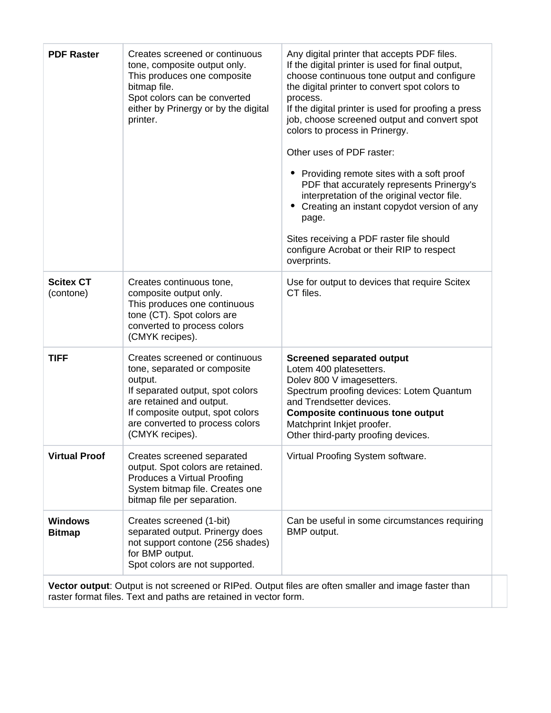| <b>PDF Raster</b>               | Creates screened or continuous<br>tone, composite output only.<br>This produces one composite<br>bitmap file.<br>Spot colors can be converted<br>either by Prinergy or by the digital<br>printer.                                   | Any digital printer that accepts PDF files.<br>If the digital printer is used for final output,<br>choose continuous tone output and configure<br>the digital printer to convert spot colors to<br>process.<br>If the digital printer is used for proofing a press<br>job, choose screened output and convert spot<br>colors to process in Prinergy.<br>Other uses of PDF raster:<br>• Providing remote sites with a soft proof<br>PDF that accurately represents Prinergy's<br>interpretation of the original vector file.<br>Creating an instant copydot version of any<br>page.<br>Sites receiving a PDF raster file should<br>configure Acrobat or their RIP to respect<br>overprints. |
|---------------------------------|-------------------------------------------------------------------------------------------------------------------------------------------------------------------------------------------------------------------------------------|--------------------------------------------------------------------------------------------------------------------------------------------------------------------------------------------------------------------------------------------------------------------------------------------------------------------------------------------------------------------------------------------------------------------------------------------------------------------------------------------------------------------------------------------------------------------------------------------------------------------------------------------------------------------------------------------|
| <b>Scitex CT</b><br>(contone)   | Creates continuous tone,<br>composite output only.<br>This produces one continuous<br>tone (CT). Spot colors are<br>converted to process colors<br>(CMYK recipes).                                                                  | Use for output to devices that require Scitex<br>CT files.                                                                                                                                                                                                                                                                                                                                                                                                                                                                                                                                                                                                                                 |
| <b>TIFF</b>                     | Creates screened or continuous<br>tone, separated or composite<br>output.<br>If separated output, spot colors<br>are retained and output.<br>If composite output, spot colors<br>are converted to process colors<br>(CMYK recipes). | <b>Screened separated output</b><br>Lotem 400 platesetters.<br>Dolev 800 V imagesetters.<br>Spectrum proofing devices: Lotem Quantum<br>and Trendsetter devices.<br><b>Composite continuous tone output</b><br>Matchprint Inkjet proofer.<br>Other third-party proofing devices.                                                                                                                                                                                                                                                                                                                                                                                                           |
| <b>Virtual Proof</b>            | Creates screened separated<br>output. Spot colors are retained.<br>Produces a Virtual Proofing<br>System bitmap file. Creates one<br>bitmap file per separation.                                                                    | Virtual Proofing System software.                                                                                                                                                                                                                                                                                                                                                                                                                                                                                                                                                                                                                                                          |
| <b>Windows</b><br><b>Bitmap</b> | Creates screened (1-bit)<br>separated output. Prinergy does<br>not support contone (256 shades)<br>for BMP output.<br>Spot colors are not supported.                                                                                | Can be useful in some circumstances requiring<br>BMP output.                                                                                                                                                                                                                                                                                                                                                                                                                                                                                                                                                                                                                               |

**Vector output**: Output is not screened or RIPed. Output files are often smaller and image faster than raster format files. Text and paths are retained in vector form.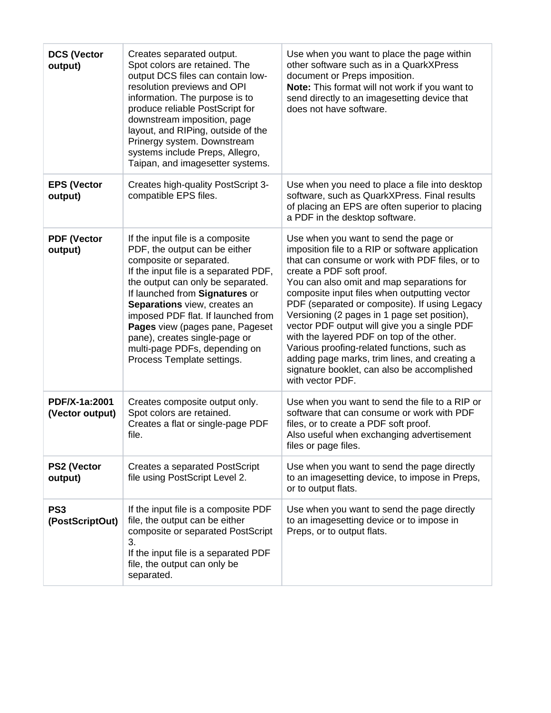| <b>DCS (Vector</b><br>output)      | Creates separated output.<br>Spot colors are retained. The<br>output DCS files can contain low-<br>resolution previews and OPI<br>information. The purpose is to<br>produce reliable PostScript for<br>downstream imposition, page<br>layout, and RIPing, outside of the<br>Prinergy system. Downstream<br>systems include Preps, Allegro,<br>Taipan, and imagesetter systems.                                        | Use when you want to place the page within<br>other software such as in a QuarkXPress<br>document or Preps imposition.<br>Note: This format will not work if you want to<br>send directly to an imagesetting device that<br>does not have software.                                                                                                                                                                                                                                                                                                                                                                                   |
|------------------------------------|-----------------------------------------------------------------------------------------------------------------------------------------------------------------------------------------------------------------------------------------------------------------------------------------------------------------------------------------------------------------------------------------------------------------------|---------------------------------------------------------------------------------------------------------------------------------------------------------------------------------------------------------------------------------------------------------------------------------------------------------------------------------------------------------------------------------------------------------------------------------------------------------------------------------------------------------------------------------------------------------------------------------------------------------------------------------------|
| <b>EPS (Vector</b><br>output)      | Creates high-quality PostScript 3-<br>compatible EPS files.                                                                                                                                                                                                                                                                                                                                                           | Use when you need to place a file into desktop<br>software, such as QuarkXPress. Final results<br>of placing an EPS are often superior to placing<br>a PDF in the desktop software.                                                                                                                                                                                                                                                                                                                                                                                                                                                   |
| <b>PDF (Vector</b><br>output)      | If the input file is a composite<br>PDF, the output can be either<br>composite or separated.<br>If the input file is a separated PDF,<br>the output can only be separated.<br>If launched from Signatures or<br>Separations view, creates an<br>imposed PDF flat. If launched from<br>Pages view (pages pane, Pageset<br>pane), creates single-page or<br>multi-page PDFs, depending on<br>Process Template settings. | Use when you want to send the page or<br>imposition file to a RIP or software application<br>that can consume or work with PDF files, or to<br>create a PDF soft proof.<br>You can also omit and map separations for<br>composite input files when outputting vector<br>PDF (separated or composite). If using Legacy<br>Versioning (2 pages in 1 page set position),<br>vector PDF output will give you a single PDF<br>with the layered PDF on top of the other.<br>Various proofing-related functions, such as<br>adding page marks, trim lines, and creating a<br>signature booklet, can also be accomplished<br>with vector PDF. |
| PDF/X-1a:2001<br>(Vector output)   | Creates composite output only.<br>Spot colors are retained.<br>Creates a flat or single-page PDF<br>file.                                                                                                                                                                                                                                                                                                             | Use when you want to send the file to a RIP or<br>software that can consume or work with PDF<br>files, or to create a PDF soft proof.<br>Also useful when exchanging advertisement<br>files or page files.                                                                                                                                                                                                                                                                                                                                                                                                                            |
| <b>PS2 (Vector</b><br>output)      | <b>Creates a separated PostScript</b><br>file using PostScript Level 2.                                                                                                                                                                                                                                                                                                                                               | Use when you want to send the page directly<br>to an imagesetting device, to impose in Preps,<br>or to output flats.                                                                                                                                                                                                                                                                                                                                                                                                                                                                                                                  |
| PS <sub>3</sub><br>(PostScriptOut) | If the input file is a composite PDF<br>file, the output can be either<br>composite or separated PostScript<br>3.<br>If the input file is a separated PDF<br>file, the output can only be<br>separated.                                                                                                                                                                                                               | Use when you want to send the page directly<br>to an imagesetting device or to impose in<br>Preps, or to output flats.                                                                                                                                                                                                                                                                                                                                                                                                                                                                                                                |